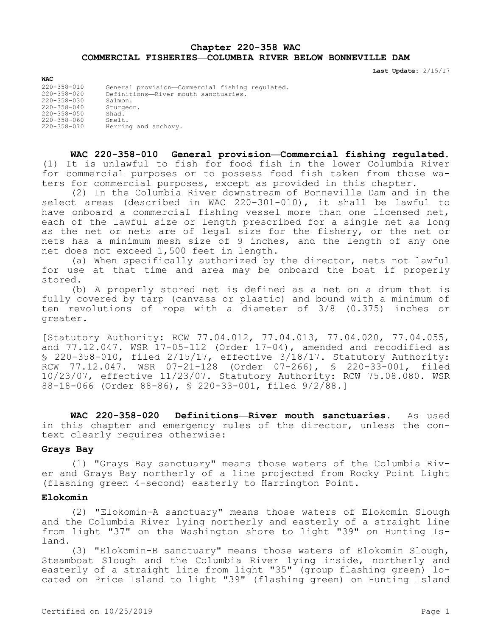# **Chapter 220-358 WAC COMMERCIAL FISHERIES—COLUMBIA RIVER BELOW BONNEVILLE DAM**

**Last Update:** 2/15/17

| -----             |                                                 |
|-------------------|-------------------------------------------------|
| 220-358-010       | General provision-Commercial fishing regulated. |
| $220 - 358 - 020$ | Definitions-River mouth sanctuaries.            |
| $220 - 358 - 030$ | Salmon.                                         |
| 220-358-040       | Sturgeon.                                       |
| 220-358-050       | Shad.                                           |
| 220-358-060       | Smelt.                                          |
| 220-358-070       | Herring and anchovy.                            |
|                   |                                                 |

**WAC 220-358-010 General provision—Commercial fishing regulated.**  (1) It is unlawful to fish for food fish in the lower Columbia River for commercial purposes or to possess food fish taken from those waters for commercial purposes, except as provided in this chapter.

(2) In the Columbia River downstream of Bonneville Dam and in the select areas (described in WAC 220-301-010), it shall be lawful to have onboard a commercial fishing vessel more than one licensed net, each of the lawful size or length prescribed for a single net as long as the net or nets are of legal size for the fishery, or the net or nets has a minimum mesh size of 9 inches, and the length of any one net does not exceed 1,500 feet in length.

(a) When specifically authorized by the director, nets not lawful for use at that time and area may be onboard the boat if properly stored.

(b) A properly stored net is defined as a net on a drum that is fully covered by tarp (canvass or plastic) and bound with a minimum of ten revolutions of rope with a diameter of 3/8 (0.375) inches or greater.

[Statutory Authority: RCW 77.04.012, 77.04.013, 77.04.020, 77.04.055, and 77.12.047. WSR 17-05-112 (Order 17-04), amended and recodified as § 220-358-010, filed 2/15/17, effective 3/18/17. Statutory Authority: RCW 77.12.047. WSR 07-21-128 (Order 07-266), § 220-33-001, filed 10/23/07, effective 11/23/07. Statutory Authority: RCW 75.08.080. WSR 88-18-066 (Order 88-86), § 220-33-001, filed 9/2/88.]

**WAC 220-358-020 Definitions—River mouth sanctuaries.** As used in this chapter and emergency rules of the director, unless the context clearly requires otherwise:

#### **Grays Bay**

**WAC**

(1) "Grays Bay sanctuary" means those waters of the Columbia River and Grays Bay northerly of a line projected from Rocky Point Light (flashing green 4-second) easterly to Harrington Point.

### **Elokomin**

(2) "Elokomin-A sanctuary" means those waters of Elokomin Slough and the Columbia River lying northerly and easterly of a straight line from light "37" on the Washington shore to light "39" on Hunting Island.

(3) "Elokomin-B sanctuary" means those waters of Elokomin Slough, Steamboat Slough and the Columbia River lying inside, northerly and easterly of a straight line from light "35" (group flashing green) located on Price Island to light "39" (flashing green) on Hunting Island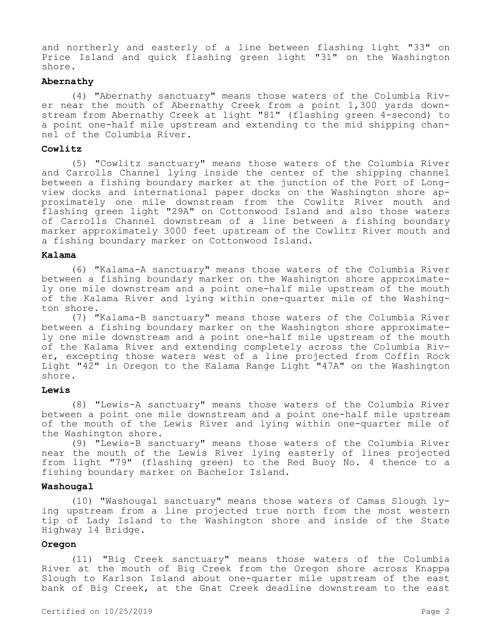and northerly and easterly of a line between flashing light "33" on Price Island and quick flashing green light "31" on the Washington shore.

# **Abernathy**

(4) "Abernathy sanctuary" means those waters of the Columbia River near the mouth of Abernathy Creek from a point 1,300 yards downstream from Abernathy Creek at light "81" (flashing green 4-second) to a point one-half mile upstream and extending to the mid shipping channel of the Columbia River.

#### **Cowlitz**

(5) "Cowlitz sanctuary" means those waters of the Columbia River and Carrolls Channel lying inside the center of the shipping channel between a fishing boundary marker at the junction of the Port of Longview docks and international paper docks on the Washington shore approximately one mile downstream from the Cowlitz River mouth and flashing green light "29A" on Cottonwood Island and also those waters of Carrolls Channel downstream of a line between a fishing boundary marker approximately 3000 feet upstream of the Cowlitz River mouth and a fishing boundary marker on Cottonwood Island.

## **Kalama**

(6) "Kalama-A sanctuary" means those waters of the Columbia River between a fishing boundary marker on the Washington shore approximately one mile downstream and a point one-half mile upstream of the mouth of the Kalama River and lying within one-quarter mile of the Washington shore.

(7) "Kalama-B sanctuary" means those waters of the Columbia River between a fishing boundary marker on the Washington shore approximately one mile downstream and a point one-half mile upstream of the mouth of the Kalama River and extending completely across the Columbia River, excepting those waters west of a line projected from Coffin Rock Light "42" in Oregon to the Kalama Range Light "47A" on the Washington shore.

# **Lewis**

(8) "Lewis-A sanctuary" means those waters of the Columbia River between a point one mile downstream and a point one-half mile upstream of the mouth of the Lewis River and lying within one-quarter mile of the Washington shore.

(9) "Lewis-B sanctuary" means those waters of the Columbia River near the mouth of the Lewis River lying easterly of lines projected from light "79" (flashing green) to the Red Buoy No. 4 thence to a fishing boundary marker on Bachelor Island.

# **Washougal**

(10) "Washougal sanctuary" means those waters of Camas Slough lying upstream from a line projected true north from the most western tip of Lady Island to the Washington shore and inside of the State Highway 14 Bridge.

# **Oregon**

(11) "Big Creek sanctuary" means those waters of the Columbia River at the mouth of Big Creek from the Oregon shore across Knappa Slough to Karlson Island about one-quarter mile upstream of the east bank of Big Creek, at the Gnat Creek deadline downstream to the east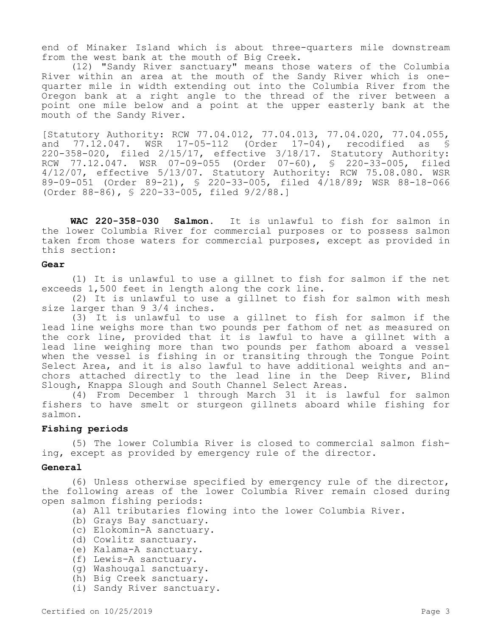end of Minaker Island which is about three-quarters mile downstream from the west bank at the mouth of Big Creek.

(12) "Sandy River sanctuary" means those waters of the Columbia River within an area at the mouth of the Sandy River which is onequarter mile in width extending out into the Columbia River from the Oregon bank at a right angle to the thread of the river between a point one mile below and a point at the upper easterly bank at the mouth of the Sandy River.

[Statutory Authority: RCW 77.04.012, 77.04.013, 77.04.020, 77.04.055, and 77.12.047. WSR 17-05-112 (Order 17-04), recodified as § 220-358-020, filed 2/15/17, effective 3/18/17. Statutory Authority: RCW 77.12.047. WSR 07-09-055 (Order 07-60), § 220-33-005, filed 4/12/07, effective 5/13/07. Statutory Authority: RCW 75.08.080. WSR 89-09-051 (Order 89-21), § 220-33-005, filed 4/18/89; WSR 88-18-066 (Order 88-86), § 220-33-005, filed 9/2/88.]

**WAC 220-358-030 Salmon.** It is unlawful to fish for salmon in the lower Columbia River for commercial purposes or to possess salmon taken from those waters for commercial purposes, except as provided in this section:

## **Gear**

(1) It is unlawful to use a gillnet to fish for salmon if the net exceeds 1,500 feet in length along the cork line.

(2) It is unlawful to use a gillnet to fish for salmon with mesh size larger than 9 3/4 inches.

(3) It is unlawful to use a gillnet to fish for salmon if the lead line weighs more than two pounds per fathom of net as measured on the cork line, provided that it is lawful to have a gillnet with a lead line weighing more than two pounds per fathom aboard a vessel when the vessel is fishing in or transiting through the Tongue Point Select Area, and it is also lawful to have additional weights and anchors attached directly to the lead line in the Deep River, Blind Slough, Knappa Slough and South Channel Select Areas.

(4) From December 1 through March 31 it is lawful for salmon fishers to have smelt or sturgeon gillnets aboard while fishing for salmon.

### **Fishing periods**

(5) The lower Columbia River is closed to commercial salmon fishing, except as provided by emergency rule of the director.

#### **General**

(6) Unless otherwise specified by emergency rule of the director, the following areas of the lower Columbia River remain closed during open salmon fishing periods:

(a) All tributaries flowing into the lower Columbia River.

- (b) Grays Bay sanctuary.
- (c) Elokomin-A sanctuary.
- (d) Cowlitz sanctuary.
- (e) Kalama-A sanctuary.
- (f) Lewis-A sanctuary.
- (g) Washougal sanctuary.
- (h) Big Creek sanctuary.
- (i) Sandy River sanctuary.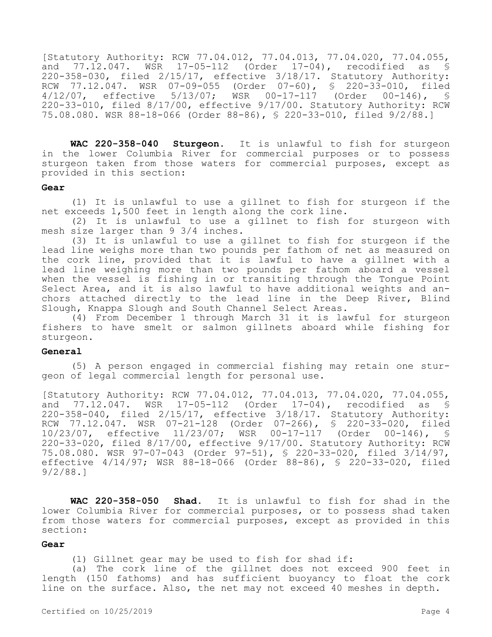[Statutory Authority: RCW 77.04.012, 77.04.013, 77.04.020, 77.04.055, and 77.12.047. WSR 17-05-112 (Order 17-04), recodified as \$ 220-358-030, filed 2/15/17, effective 3/18/17. Statutory Authority: RCW 77.12.047. WSR 07-09-055 (Order 07-60), § 220-33-010, filed<br>4/12/07, effective 5/13/07; WSR 00-17-117 (Order 00-146), § WSR 00-17-117 (Order 00-146), § 220-33-010, filed 8/17/00, effective 9/17/00. Statutory Authority: RCW 75.08.080. WSR 88-18-066 (Order 88-86), § 220-33-010, filed 9/2/88.]

**WAC 220-358-040 Sturgeon.** It is unlawful to fish for sturgeon in the lower Columbia River for commercial purposes or to possess sturgeon taken from those waters for commercial purposes, except as provided in this section:

#### **Gear**

(1) It is unlawful to use a gillnet to fish for sturgeon if the net exceeds 1,500 feet in length along the cork line.

(2) It is unlawful to use a gillnet to fish for sturgeon with mesh size larger than 9 3/4 inches.

(3) It is unlawful to use a gillnet to fish for sturgeon if the lead line weighs more than two pounds per fathom of net as measured on the cork line, provided that it is lawful to have a gillnet with a lead line weighing more than two pounds per fathom aboard a vessel when the vessel is fishing in or transiting through the Tongue Point Select Area, and it is also lawful to have additional weights and anchors attached directly to the lead line in the Deep River, Blind Slough, Knappa Slough and South Channel Select Areas.

(4) From December 1 through March 31 it is lawful for sturgeon fishers to have smelt or salmon gillnets aboard while fishing for sturgeon.

#### **General**

(5) A person engaged in commercial fishing may retain one sturgeon of legal commercial length for personal use.

[Statutory Authority: RCW 77.04.012, 77.04.013, 77.04.020, 77.04.055,<br>and 77.12.047. WSR 17-05-112 (Order 17-04), recodified as \$ and  $77.12.047$ . WSR  $17-05-112$  (Order  $17-04$ ), 220-358-040, filed 2/15/17, effective 3/18/17. Statutory Authority: RCW 77.12.047. WSR 07-21-128 (Order 07-266), § 220-33-020, filed 10/23/07, effective 11/23/07; WSR 00-17-117 (Order 00-146), § 220-33-020, filed 8/17/00, effective 9/17/00. Statutory Authority: RCW 75.08.080. WSR 97-07-043 (Order 97-51), § 220-33-020, filed 3/14/97, effective 4/14/97; WSR 88-18-066 (Order 88-86), § 220-33-020, filed 9/2/88.]

**WAC 220-358-050 Shad.** It is unlawful to fish for shad in the lower Columbia River for commercial purposes, or to possess shad taken from those waters for commercial purposes, except as provided in this section:

# **Gear**

(1) Gillnet gear may be used to fish for shad if:

(a) The cork line of the gillnet does not exceed 900 feet in length (150 fathoms) and has sufficient buoyancy to float the cork line on the surface. Also, the net may not exceed 40 meshes in depth.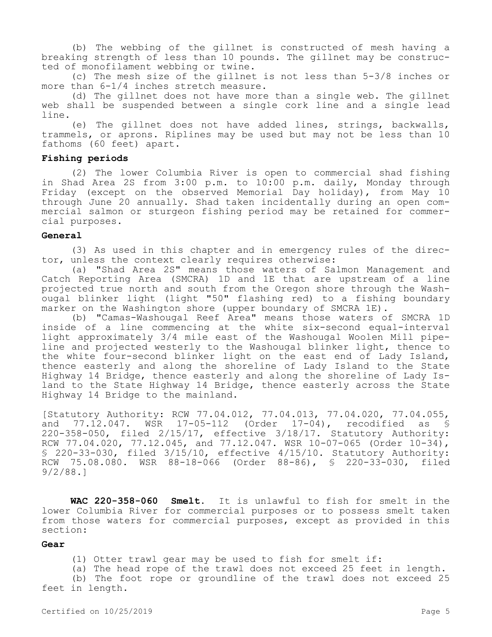(b) The webbing of the gillnet is constructed of mesh having a breaking strength of less than 10 pounds. The gillnet may be constructed of monofilament webbing or twine.

(c) The mesh size of the gillnet is not less than 5-3/8 inches or more than 6-1/4 inches stretch measure.

(d) The gillnet does not have more than a single web. The gillnet web shall be suspended between a single cork line and a single lead line.

(e) The gillnet does not have added lines, strings, backwalls, trammels, or aprons. Riplines may be used but may not be less than 10 fathoms (60 feet) apart.

## **Fishing periods**

(2) The lower Columbia River is open to commercial shad fishing in Shad Area 2S from 3:00 p.m. to 10:00 p.m. daily, Monday through Friday (except on the observed Memorial Day holiday), from May 10 through June 20 annually. Shad taken incidentally during an open commercial salmon or sturgeon fishing period may be retained for commercial purposes.

#### **General**

(3) As used in this chapter and in emergency rules of the director, unless the context clearly requires otherwise:

(a) "Shad Area 2S" means those waters of Salmon Management and Catch Reporting Area (SMCRA) 1D and 1E that are upstream of a line projected true north and south from the Oregon shore through the Washougal blinker light (light "50" flashing red) to a fishing boundary marker on the Washington shore (upper boundary of SMCRA 1E).

(b) "Camas-Washougal Reef Area" means those waters of SMCRA 1D inside of a line commencing at the white six-second equal-interval light approximately 3/4 mile east of the Washougal Woolen Mill pipeline and projected westerly to the Washougal blinker light, thence to the white four-second blinker light on the east end of Lady Island, thence easterly and along the shoreline of Lady Island to the State Highway 14 Bridge, thence easterly and along the shoreline of Lady Island to the State Highway 14 Bridge, thence easterly across the State Highway 14 Bridge to the mainland.

[Statutory Authority: RCW 77.04.012, 77.04.013, 77.04.020, 77.04.055, and 77.12.047. WSR 17-05-112 (Order 17-04), recodified as § 220-358-050, filed 2/15/17, effective 3/18/17. Statutory Authority: RCW 77.04.020, 77.12.045, and 77.12.047. WSR 10-07-065 (Order 10-34), § 220-33-030, filed 3/15/10, effective 4/15/10. Statutory Authority: RCW 75.08.080. WSR 88-18-066 (Order 88-86), § 220-33-030, filed 9/2/88.]

**WAC 220-358-060 Smelt.** It is unlawful to fish for smelt in the lower Columbia River for commercial purposes or to possess smelt taken from those waters for commercial purposes, except as provided in this section:

# **Gear**

(1) Otter trawl gear may be used to fish for smelt if:

(a) The head rope of the trawl does not exceed 25 feet in length. (b) The foot rope or groundline of the trawl does not exceed 25 feet in length.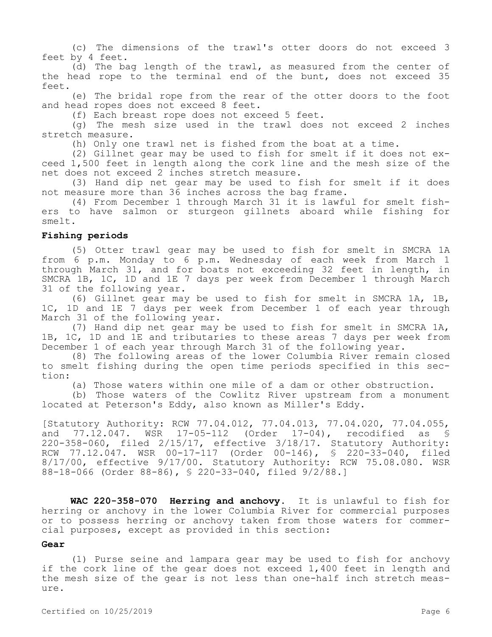(c) The dimensions of the trawl's otter doors do not exceed 3 feet by 4 feet.

(d) The bag length of the trawl, as measured from the center of the head rope to the terminal end of the bunt, does not exceed 35 feet.

(e) The bridal rope from the rear of the otter doors to the foot and head ropes does not exceed 8 feet.

(f) Each breast rope does not exceed 5 feet.

(g) The mesh size used in the trawl does not exceed 2 inches stretch measure.

(h) Only one trawl net is fished from the boat at a time.

(2) Gillnet gear may be used to fish for smelt if it does not exceed 1,500 feet in length along the cork line and the mesh size of the net does not exceed 2 inches stretch measure.

(3) Hand dip net gear may be used to fish for smelt if it does not measure more than 36 inches across the bag frame.

(4) From December 1 through March 31 it is lawful for smelt fishers to have salmon or sturgeon gillnets aboard while fishing for smelt.

#### **Fishing periods**

(5) Otter trawl gear may be used to fish for smelt in SMCRA 1A from 6 p.m. Monday to 6 p.m. Wednesday of each week from March 1 through March 31, and for boats not exceeding 32 feet in length, in SMCRA 1B, 1C, 1D and 1E 7 days per week from December 1 through March 31 of the following year.

(6) Gillnet gear may be used to fish for smelt in SMCRA 1A, 1B, 1C, 1D and 1E 7 days per week from December 1 of each year through March 31 of the following year.

(7) Hand dip net gear may be used to fish for smelt in SMCRA 1A, 1B, 1C, 1D and 1E and tributaries to these areas 7 days per week from December 1 of each year through March 31 of the following year.

(8) The following areas of the lower Columbia River remain closed to smelt fishing during the open time periods specified in this section:

(a) Those waters within one mile of a dam or other obstruction.

(b) Those waters of the Cowlitz River upstream from a monument located at Peterson's Eddy, also known as Miller's Eddy.

[Statutory Authority: RCW 77.04.012, 77.04.013, 77.04.020, 77.04.055, and 77.12.047. WSR 17-05-112 (Order 17-04), recodified as § 220-358-060, filed 2/15/17, effective 3/18/17. Statutory Authority: RCW 77.12.047. WSR 00-17-117 (Order 00-146), § 220-33-040, filed 8/17/00, effective 9/17/00. Statutory Authority: RCW 75.08.080. WSR 88-18-066 (Order 88-86), § 220-33-040, filed 9/2/88.]

**WAC 220-358-070 Herring and anchovy.** It is unlawful to fish for herring or anchovy in the lower Columbia River for commercial purposes or to possess herring or anchovy taken from those waters for commercial purposes, except as provided in this section:

#### **Gear**

(1) Purse seine and lampara gear may be used to fish for anchovy if the cork line of the gear does not exceed 1,400 feet in length and the mesh size of the gear is not less than one-half inch stretch measure.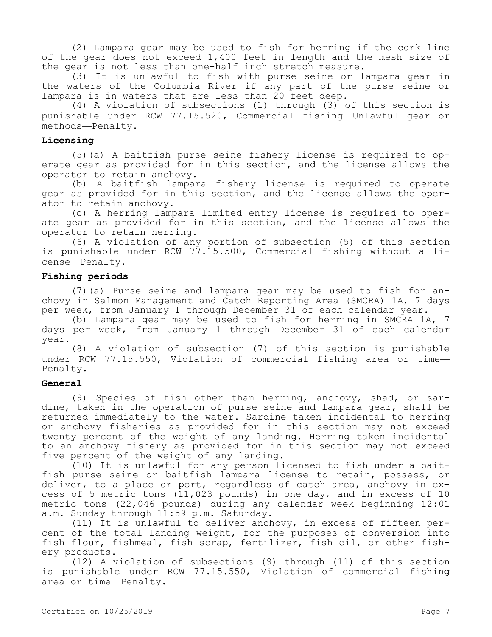(2) Lampara gear may be used to fish for herring if the cork line of the gear does not exceed 1,400 feet in length and the mesh size of the gear is not less than one-half inch stretch measure.

(3) It is unlawful to fish with purse seine or lampara gear in the waters of the Columbia River if any part of the purse seine or lampara is in waters that are less than 20 feet deep.

(4) A violation of subsections (1) through (3) of this section is punishable under RCW 77.15.520, Commercial fishing—Unlawful gear or methods—Penalty.

## **Licensing**

(5)(a) A baitfish purse seine fishery license is required to operate gear as provided for in this section, and the license allows the operator to retain anchovy.

(b) A baitfish lampara fishery license is required to operate gear as provided for in this section, and the license allows the operator to retain anchovy.

(c) A herring lampara limited entry license is required to operate gear as provided for in this section, and the license allows the operator to retain herring.

(6) A violation of any portion of subsection (5) of this section is punishable under RCW 77.15.500, Commercial fishing without a license—Penalty.

## **Fishing periods**

(7)(a) Purse seine and lampara gear may be used to fish for anchovy in Salmon Management and Catch Reporting Area (SMCRA) 1A, 7 days per week, from January 1 through December 31 of each calendar year.

(b) Lampara gear may be used to fish for herring in SMCRA 1A, 7 days per week, from January 1 through December 31 of each calendar year.

(8) A violation of subsection (7) of this section is punishable under RCW 77.15.550, Violation of commercial fishing area or time— Penalty.

#### **General**

(9) Species of fish other than herring, anchovy, shad, or sardine, taken in the operation of purse seine and lampara gear, shall be returned immediately to the water. Sardine taken incidental to herring or anchovy fisheries as provided for in this section may not exceed twenty percent of the weight of any landing. Herring taken incidental to an anchovy fishery as provided for in this section may not exceed five percent of the weight of any landing.

(10) It is unlawful for any person licensed to fish under a baitfish purse seine or baitfish lampara license to retain, possess, or deliver, to a place or port, regardless of catch area, anchovy in excess of 5 metric tons (11,023 pounds) in one day, and in excess of 10 metric tons (22,046 pounds) during any calendar week beginning 12:01 a.m. Sunday through 11:59 p.m. Saturday.

(11) It is unlawful to deliver anchovy, in excess of fifteen percent of the total landing weight, for the purposes of conversion into fish flour, fishmeal, fish scrap, fertilizer, fish oil, or other fishery products.

(12) A violation of subsections (9) through (11) of this section is punishable under RCW 77.15.550, Violation of commercial fishing area or time—Penalty.